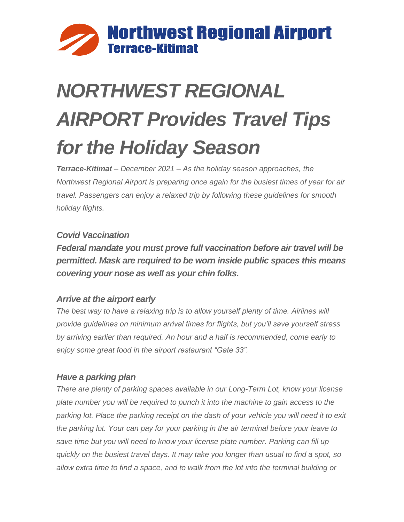

# *NORTHWEST REGIONAL AIRPORT Provides Travel Tips for the Holiday Season*

*Terrace-Kitimat – December 2021 – As the holiday season approaches, the Northwest Regional Airport is preparing once again for the busiest times of year for air travel. Passengers can enjoy a relaxed trip by following these guidelines for smooth holiday flights.*

# *Covid Vaccination*

*Federal mandate you must prove full vaccination before air travel will be permitted. Mask are required to be worn inside public spaces this means covering your nose as well as your chin folks.* 

#### *Arrive at the airport early*

*The best way to have a relaxing trip is to allow yourself plenty of time. Airlines will provide guidelines on minimum arrival times for flights, but you'll save yourself stress by arriving earlier than required. An hour and a half is recommended, come early to enjoy some great food in the airport restaurant "Gate 33".*

#### *Have a parking plan*

*There are plenty of parking spaces available in our Long-Term Lot, know your license plate number you will be required to punch it into the machine to gain access to the*  parking lot. Place the parking receipt on the dash of your vehicle you will need it to exit *the parking lot. Your can pay for your parking in the air terminal before your leave to save time but you will need to know your license plate number. Parking can fill up quickly on the busiest travel days. It may take you longer than usual to find a spot, so allow extra time to find a space, and to walk from the lot into the terminal building or*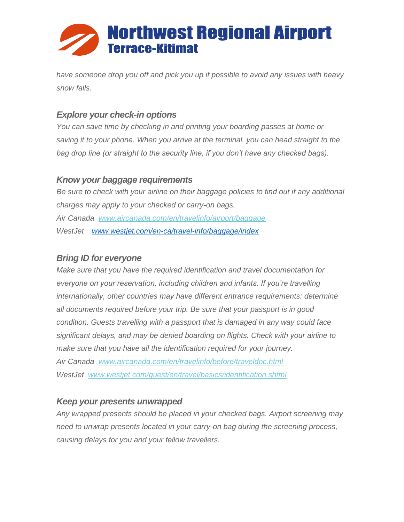

*have someone drop you off and pick you up if possible to avoid any issues with heavy snow falls.*

## *Explore your check-in options*

*You can save time by checking in and printing your boarding passes at home or saving it to your phone. When you arrive at the terminal, you can head straight to the bag drop line (or straight to the security line, if you don't have any checked bags).*

#### *Know your baggage requirements*

*Be sure to check with your airline on their baggage policies to find out if any additional charges may apply to your checked or carry-on bags. Air Canada [www.aircanada.com/en/travelinfo/airport/baggage](http://flyymm.us6.list-manage2.com/track/click?u=114326bf91851bba94220b4b5&id=7968fb2065&e=7483391af8) WestJet [www.westjet.com/en-ca/travel-info/baggage/index](http://www.westjet.com/en-ca/travel-info/baggage/index)*

## *Bring ID for everyone*

*Make sure that you have the required identification and travel documentation for everyone on your reservation, including children and infants. If you're travelling internationally, other countries may have different entrance requirements: determine all documents required before your trip. Be sure that your passport is in good condition. Guests travelling with a passport that is damaged in any way could face significant delays, and may be denied boarding on flights. Check with your airline to make sure that you have all the identification required for your journey. Air Canada [www.aircanada.com/en/travelinfo/before/traveldoc.html](http://flyymm.us6.list-manage.com/track/click?u=114326bf91851bba94220b4b5&id=a598ad2831&e=7483391af8) WestJet [www.westjet.com/guest/en/travel/basics/identification.shtml](http://flyymm.us6.list-manage.com/track/click?u=114326bf91851bba94220b4b5&id=b081388a21&e=7483391af8)*

#### *Keep your presents unwrapped*

*Any wrapped presents should be placed in your checked bags. Airport screening may need to unwrap presents located in your carry-on bag during the screening process, causing delays for you and your fellow travellers.*